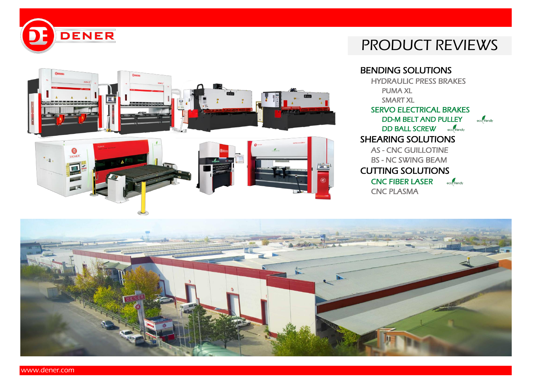



# PRODUCT REVIEWS

BENDING SOLUTIONS HYDRAULIC PRESS BRAKES PUMA XL SMART XL SERVO ELECTRICAL BRAKES DD-M BELT AND PULLEY eco<sup>f</sup>friendly DD BALL SCREW eco(friendly SHEARING SOLUTIONS AS - CNC GUILLOTINE BS - NC SWING BEAM CUTTING SOLUTIONS CNC FIBER LASER eco<sup>2</sup> friendly CNC PLASMA

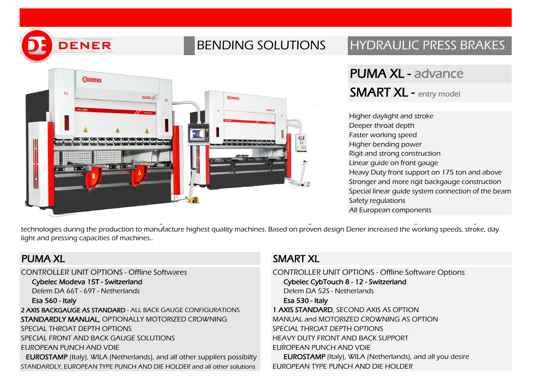

# BENDING SOLUTIONS HYDRAULIC PRESS BRAKES



# PUMA XL - advance SMART XL - entry model

Higher daylight and stroke Deeper throat depth Faster working speed Higher bending power Rigit and strong construction Linear guide on front gauge Heavy Duty front support on 175 ton and above Stronger and more rigit backgauge construction Special linear guide system connection of the beam Safety regulations All European components

technologies during the production to manufacture highest quality machines. Based on proven design Dener increased the working speeds, stroke, day light and pressing capacities of machines..

CONTROLLER UNIT OPTIONS - Offline Softwares CONTROLLER UNIT OPTIONS - Offline Software Options Cybelec Modeva 15T - Switzerland Cybelec CybTouch 8 - 12 - Switzerland Delem DA 66T - 69T - Netherlands Delem DA 52S - Netherlands Esa 560 - Italy Esa 530 - Italy 2 AXIS BACKGAUGE AS STANDARD - ALL BACK GAUGE CONFIGURATIONS STANDARDLY MANUAL, OPTIONALLY MOTORIZED CROWNING SPECIAL THROAT DEPTH OPTIONS SPECIAL FRONT AND BACK GAUGE SOLUTIONS EUROPEAN PUNCH AND VDIE EUROSTAMP (Italy), WILA (Netherlands), and all other suppliers possibilty STANDARDLY, EUROPEAN TYPE PUNCH AND DIE HOLDER and all other solutions

### PUMA XI SMART XI

1 AXIS STANDARD, SECOND AXIS AS OPTION MANUAL and MOTORIZED CROWNING AS OPTION SPECIAL THROAT DEPTH OPTIONS HEAVY DUTY FRONT AND BACK SUPPORT EUROPEAN PUNCH AND VDIE EUROSTAMP (Italy), WILA (Netherlands), and all you desire EUROPEAN TYPE PUNCH AND DIE HOLDER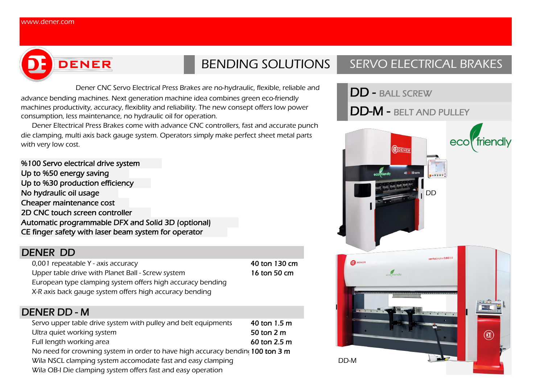

Dener CNC Servo Electrical Press Brakes are no-hydraulic, flexible, reliable and advance bending machines. Next generation machine idea combines green eco-friendly machines productivity, accuracy, flexiblity and reliability. The new consept offers low power consumption, less maintenance, no hydraulic oil for operation.

Dener Eltectrical Press Brakes come with advance CNC controllers, fast and accurate punch die clamping, multi axis back gauge system. Operators simply make perfect sheet metal parts with very low cost.

%100 Servo electrical drive system Up to %50 energy saving Up to %30 production efficiency No hydraulic oil usage and the state of the state of the state of the state of the state of the state of the state of the state of the state of the state of the state of the state of the state of the state of the state of Cheaper maintenance cost 2D CNC touch screen controller Automatic programmable DFX and Solid 3D (optional) CE finger safety with laser beam system for operator

### DENER DD

0,001 repeatable Y - axis accuracy density and the set of the 40 ton 130 cm Upper table drive with Planet Ball - Screw system 16 ton 50 cm European type clamping system offers high accuracy bending X-R axis back gauge system offers high accuracy bending

### DENER DD - M

| Servo upper table drive system with pulley and belt equipments                 | 40 ton 1.5 m |      |
|--------------------------------------------------------------------------------|--------------|------|
| Ultra quiet working system                                                     | 50 ton 2 m   |      |
| Full length working area                                                       | 60 ton 2.5 m |      |
| No need for crowning system in order to have high accuracy bending 100 ton 3 m |              |      |
| Wila NSCL clamping system accomodate fast and easy clamping                    |              | DD-M |
| Wila OB-I Die clamping system offers fast and easy operation                   |              |      |

# BENDING SOLUTIONS | SERVO ELECTRICAL BRAKES

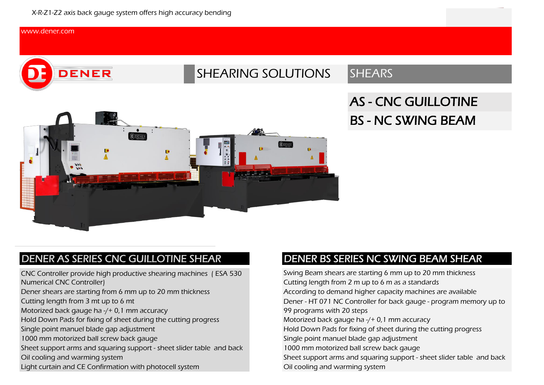#### [ww](http://www.dener.com/)w.dener.com



# SHEARING SOLUTIONS SHEARS

# AS - CNC GUILLOTINE BS - NC SWING BEAM



### DENER AS SERIES CNC GUILLOTINE SHEAR

CNC Controller provide high productive shearing machines ( ESA 530 Numerical CNC Controller)

Dener shears are starting from 6 mm up to 20 mm thickness

Cutting length from 3 mt up to 6 mt

Motorized back gauge ha -/+ 0,1 mm accuracy

Hold Down Pads for fixing of sheet during the cutting progress

Single point manuel blade gap adjustment

1000 mm motorized ball screw back gauge

Sheet support arms and squaring support - sheet slider table and back Oil cooling and warming system

Light curtain and CE Confirmation with photocell system

### DENER BS SERIES NC SWING BEAM SHEAR

Swing Beam shears are starting 6 mm up to 20 mm thickness Cutting length from 2 m up to 6 m as a standards Dener - HT 071 NC Controller for back gauge - program memory up to 99 programs with 20 steps Oil cooling and warming system According to demand higher capacity machines are available Motorized back gauge ha -/+ 0,1 mm accuracy Hold Down Pads for fixing of sheet during the cutting progress Single point manuel blade gap adjustment 1000 mm motorized ball screw back gauge Sheet support arms and squaring support - sheet slider table and back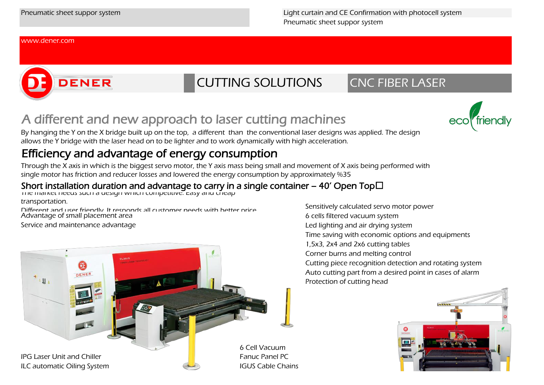Pneumatic sheet suppor system Pneumatic sheet suppor system Light curtain and CE Confirmation with photocell system

#### [ww](http://www.dener.com/)w.dener.com

# DENER



# A different and new approach to laser cutting machines

By hanging the Y on the X bridge built up on the top, a different than the conventional laser designs was applied. The design allows the Y bridge with the laser head on to be lighter and to work dynamically with high acceleration.

## Efficiency and advantage of energy consumption

Through the X axis in which is the biggest servo motor, the Y axis mass being small and movement of X axis being performed with single motor has friction and reducer losses and lowered the energy consumption by approximately %35

#### Short installation duration and advantage to carry in a single container – 40' Open Top $\Box$

The market needs such a design which competitive. Easy and cheap

#### transportation.

Different and user friendly. It responds all customer needs with better price. Advantage of small placement area

Service and maintenance advantage



Sensitively calculated servo motor power 6 cells filtered vacuum system Led lighting and air drying system Time saving with economic options and equipments 1,5x3, 2x4 and 2x6 cutting tables Corner burns and melting control Cutting piece recognition detection and rotating system Auto cutting part from a desired point in cases of alarm Protection of cutting head



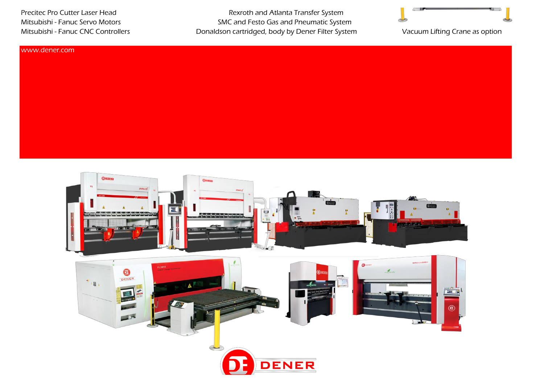Precitec Pro Cutter Laser Head Rexroth and Atlanta Transfer System Mitsubishi - Fanuc Servo Motors **SMC** and Festo Gas and Pneumatic System Mitsubishi - Fanuc CNC Controllers **Donaldson cartridged, body by Dener Filter System** 



Vacuum Lifting Crane as option

#### [ww](http://www.dener.com/)w.dener.com